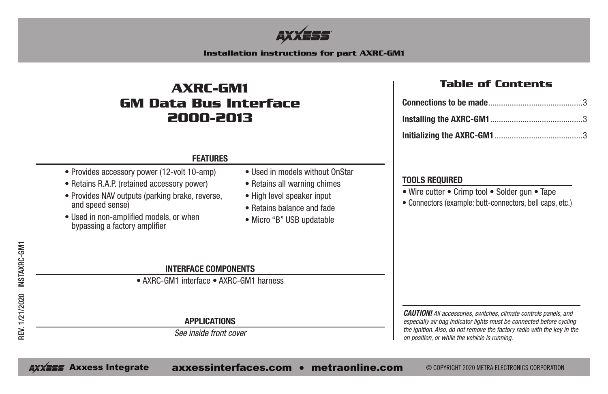

#### **Installation instructions for part AXRC-GM1**

### **AXRC-GM1 GM Data Bus Interface 2000-2013**

#### **Table of Contents**

#### **FEATURES**

- Provides accessory power (12-volt 10-amp)
- Retains R.A.P. (retained accessory power)
- Provides NAV outputs (parking brake, reverse, and speed sense)
- Used in non-amplified models, or when bypassing a factory amplifier
- Used in models without OnStar
- Retains all warning chimes
- High level speaker input
- Retains balance and fade
- Micro "B" USB updatable

#### **TOOLS REQUIRED**

- Wire cutter Crimp tool Solder gun Tape
- Connectors (example: butt-connectors, bell caps, etc.)

#### **INTERFACE COMPONENTS**

• AXRC-GM1 interface • AXRC-GM1 harness

**APPLICATIONS**

*See inside front cover*

*CAUTION! All accessories, switches, climate controls panels, and especially air bag indicator lights must be connected before cycling the ignition. Also, do not remove the factory radio with the key in the on position, or while the vehicle is running.*

AXXESS Axxess Integrate axxessinterfaces.com • metraonline.com © COPYRIGHT 2020 METRA ELECTRONICS CORPORATION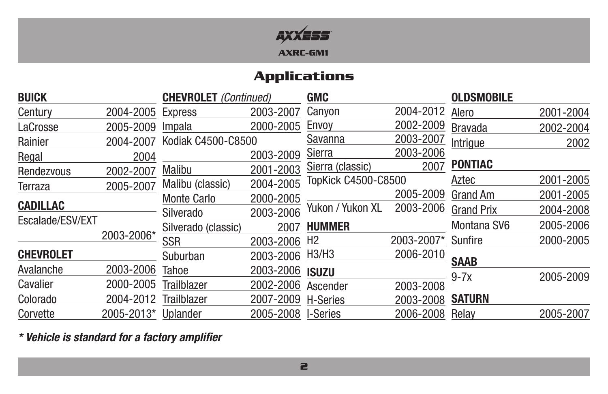

## **Applications**

| <b>BUICK</b><br><b>CHEVROLET</b> (Continued) |            | <b>GMC</b>          |           | <b>OLDSMOBILE</b>   |            |                   |           |
|----------------------------------------------|------------|---------------------|-----------|---------------------|------------|-------------------|-----------|
| Century                                      | 2004-2005  | <b>Express</b>      | 2003-2007 | Canyon              | 2004-2012  | Alero             | 2001-2004 |
| LaCrosse                                     | 2005-2009  | Impala              | 2000-2005 | Envoy               | 2002-2009  | <b>Bravada</b>    | 2002-2004 |
| Rainier                                      | 2004-2007  | Kodiak C4500-C8500  |           | Savanna             | 2003-2007  | Intrigue          | 2002      |
| Regal                                        | 2004       |                     | 2003-2009 | Sierra              | 2003-2006  |                   |           |
| Rendezvous                                   | 2002-2007  | <b>Malibu</b>       | 2001-2003 | Sierra (classic)    | 2007       | <b>PONTIAC</b>    |           |
| Terraza                                      | 2005-2007  | Malibu (classic)    | 2004-2005 | TopKick C4500-C8500 |            | Aztec             | 2001-2005 |
|                                              |            | <b>Monte Carlo</b>  | 2000-2005 |                     | 2005-2009  | <b>Grand Am</b>   | 2001-2005 |
| <b>CADILLAC</b>                              |            | Silverado           | 2003-2006 | Yukon / Yukon XL    | 2003-2006  | <b>Grand Prix</b> | 2004-2008 |
| Escalade/ESV/EXT                             |            | Silverado (classic) | 2007      | <b>HUMMER</b>       |            | Montana SV6       | 2005-2006 |
|                                              | 2003-2006* | <b>SSR</b>          | 2003-2006 | H <sub>2</sub>      | 2003-2007* | Sunfire           | 2000-2005 |
| <b>CHEVROLET</b>                             |            | Suburban            | 2003-2006 | H3/H3               | 2006-2010  | <b>SAAB</b>       |           |
| Avalanche                                    | 2003-2006  | <b>Tahoe</b>        | 2003-2006 | <b>ISUZU</b>        |            |                   | 2005-2009 |
| Cavalier                                     | 2000-2005  | <b>Trailblazer</b>  | 2002-2006 | Ascender            | 2003-2008  | $9-7x$            |           |
| Colorado                                     | 2004-2012  | <b>Trailblazer</b>  | 2007-2009 | <b>H-Series</b>     | 2003-2008  | <b>SATURN</b>     |           |
| Corvette                                     | 2005-2013* | Uplander            | 2005-2008 | <b>I-Series</b>     | 2006-2008  | Relay             | 2005-2007 |

*\* Vehicle is standard for a factory amplifier*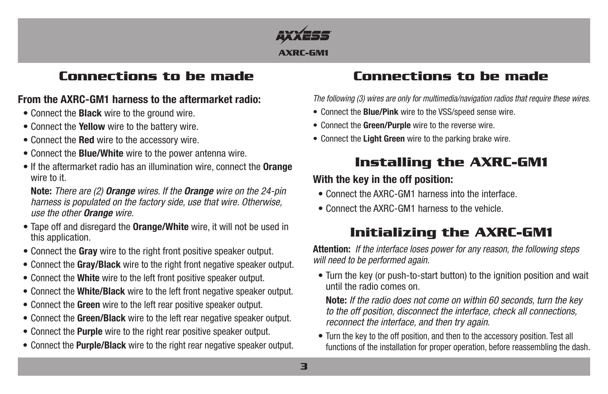

### **Connections to be made Connections to be made**

### **From the AXRC-GM1 harness to the aftermarket radio:**

- Connect the **Black** wire to the ground wire.
- Connect the **Yellow** wire to the battery wire.
- Connect the **Red** wire to the accessory wire.
- Connect the **Blue/White** wire to the power antenna wire.
- If the aftermarket radio has an illumination wire, connect the **Orange** wire to it.

**Note:** *There are (2) Orange wires. If the Orange wire on the 24-pin harness is populated on the factory side, use that wire. Otherwise, use the other Orange wire.*

- Tape off and disregard the **Orange/White** wire, it will not be used in this application.
- Connect the **Gray** wire to the right front positive speaker output.
- Connect the **Gray/Black** wire to the right front negative speaker output.
- Connect the **White** wire to the left front positive speaker output.
- Connect the **White/Black** wire to the left front negative speaker output.
- Connect the **Green** wire to the left rear positive speaker output.
- Connect the **Green/Black** wire to the left rear negative speaker output.
- Connect the **Purple** wire to the right rear positive speaker output.
- Connect the **Purple/Black** wire to the right rear negative speaker output.

*The following (3) wires are only for multimedia/navigation radios that require these wires.*

- Connect the **Blue/Pink** wire to the VSS/speed sense wire.
- Connect the **Green/Purple** wire to the reverse wire.
- Connect the **Light Green** wire to the parking brake wire.

# **Installing the AXRC-GM1**

### **With the key in the off position:**

- Connect the AXRC-GM1 harness into the interface.
- Connect the AXRC-GM1 harness to the vehicle.

# **Initializing the AXRC-GM1**

**Attention:** *If the interface loses power for any reason, the following steps will need to be performed again.*

• Turn the key (or push-to-start button) to the ignition position and wait until the radio comes on.

**Note:** *If the radio does not come on within 60 seconds, turn the key to the off position, disconnect the interface, check all connections, reconnect the interface, and then try again*.

• Turn the key to the off position, and then to the accessory position. Test all functions of the installation for proper operation, before reassembling the dash.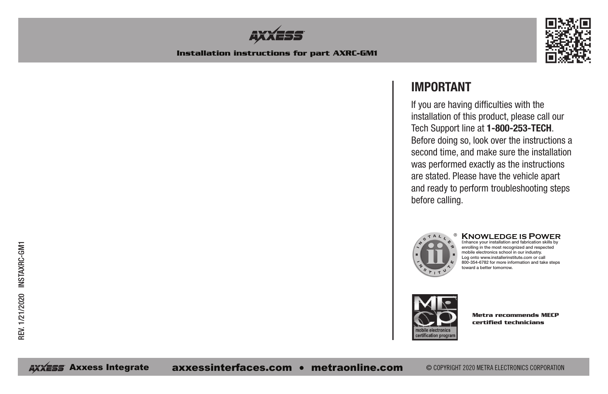



### **IMPORTANT**

If you are having difficulties with the installation of this product, please call our Tech Support line at **1-800-253-TECH**. Before doing so, look over the instructions a second time, and make sure the installation was performed exactly as the instructions are stated. Please have the vehicle apart and ready to perform troubleshooting steps before calling.



#### **KNOWLEDGE IS POWER** <sup>E</sup>nhance your installation and fabrication skills by

enrolling in the most recognized and respected mobile electronics school in our industry. Log onto www.installerinstitute.com or call 800-354-6782 for more information and take steps toward a better tomorrow.



**Metra recommends MECP certified technicians**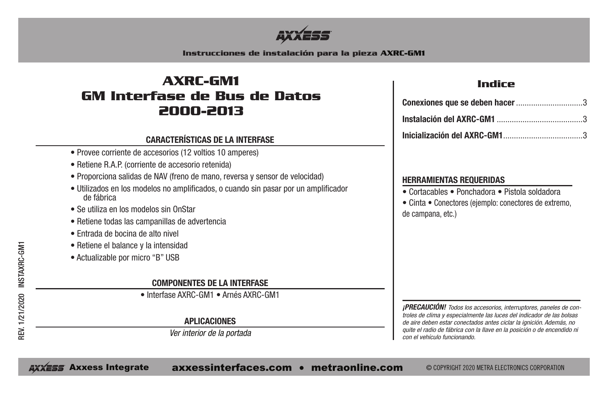

**Instrucciones de instalación para la pieza AXRC-GM1**

## **AXRC-GM1 GM Interfase de Bus de Datos 2000-2013**

#### **CARACTERÍSTICAS DE LA INTERFASE**

- Provee corriente de accesorios (12 voltios 10 amperes)
- Retiene R.A.P. (corriente de accesorio retenida)
- Proporciona salidas de NAV (freno de mano, reversa y sensor de velocidad)
- Utilizados en los modelos no amplificados, o cuando sin pasar por un amplificador de fábrica
- Se utiliza en los modelos sin OnStar
- Retiene todas las campanillas de advertencia
- Entrada de bocina de alto nivel
- Retiene el balance y la intensidad
- Actualizable por micro "B" USB

#### **COMPONENTES DE LA INTERFASE**

• Interfase AXRC-GM1 • Arnés AXRC-GM1

#### **APLICACIONES**

*Ver interior de la portada*

### **Indice**

#### **HERRAMIENTAS REQUERIDAS**

• Cortacables • Ponchadora • Pistola soldadora

• Cinta • Conectores (ejemplo: conectores de extremo, de campana, etc.)

*¡PRECAUCIÓN! Todos los accesorios, interruptores, paneles de controles de clima y especialmente las luces del indicador de las bolsas de aire deben estar conectados antes ciclar la ignición. Además, no quite el radio de fábrica con la llave en la posición o de encendido ni con el vehículo funcionando.*

AXXESS Axxess Integrate axxessinterfaces.com • metraonline.com © COPYRIGHT 2020 METRA ELECTRONICS CORPORATION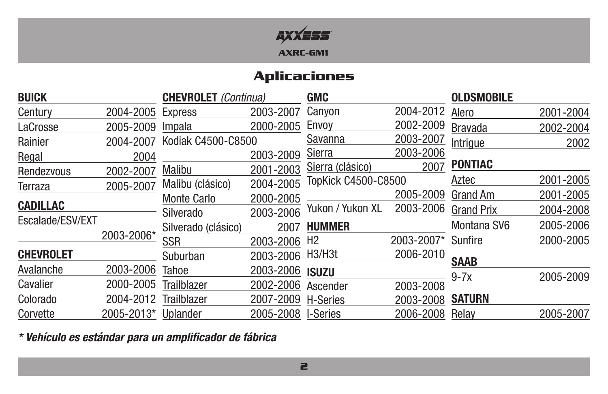

### **Aplicaciones**

| <b>BUICK</b>     |            | <b>CHEVROLET</b> (Continua) |           | <b>GMC</b>                       |            | <b>OLDSMOBILE</b> |           |
|------------------|------------|-----------------------------|-----------|----------------------------------|------------|-------------------|-----------|
| Century          | 2004-2005  | <b>Express</b>              | 2003-2007 | Canyon                           | 2004-2012  | Alero             | 2001-2004 |
| LaCrosse         | 2005-2009  | Impala                      | 2000-2005 | Envoy                            | 2002-2009  | <b>Bravada</b>    | 2002-2004 |
| Rainier          | 2004-2007  | Kodiak C4500-C8500          |           | Savanna                          | 2003-2007  | Intrigue          | 2002      |
| Regal            | 2004       |                             | 2003-2009 | Sierra                           | 2003-2006  |                   |           |
| Rendezvous       | 2002-2007  | Malibu                      | 2001-2003 | Sierra (clásico)                 | 2007       | <b>PONTIAC</b>    |           |
| Terraza          | 2005-2007  | Malibu (clásico)            | 2004-2005 | <b>TopKick C4500-C8500</b>       |            | Aztec             | 2001-2005 |
|                  |            | <b>Monte Carlo</b>          | 2000-2005 |                                  | 2005-2009  | <b>Grand Am</b>   | 2001-2005 |
| <b>CADILLAC</b>  |            | Silverado                   | 2003-2006 | Yukon / Yukon XL                 | 2003-2006  | <b>Grand Prix</b> | 2004-2008 |
| Escalade/ESV/EXT |            | Silverado (clásico)         | 2007      | <b>HUMMER</b>                    |            | Montana SV6       | 2005-2006 |
|                  | 2003-2006* | <b>SSR</b>                  | 2003-2006 | H <sub>2</sub>                   | 2003-2007* | Sunfire           | 2000-2005 |
| <b>CHEVROLET</b> |            | Suburban                    | 2003-2006 | H <sub>3</sub> /H <sub>3</sub> t | 2006-2010  | <b>SAAB</b>       |           |
| Avalanche        | 2003-2006  | Tahoe                       | 2003-2006 | <b>ISUZU</b>                     |            |                   |           |
| Cavalier         | 2000-2005  | <b>Trailblazer</b>          | 2002-2006 | Ascender                         | 2003-2008  | $9-7x$            | 2005-2009 |
| Colorado         | 2004-2012  | <b>Trailblazer</b>          | 2007-2009 | H-Series                         | 2003-2008  | <b>SATURN</b>     |           |
| Corvette         | 2005-2013* | Uplander                    | 2005-2008 | <b>I-Series</b>                  | 2006-2008  | Relay             | 2005-2007 |

*\* Vehículo es estándar para un amplificador de fábrica*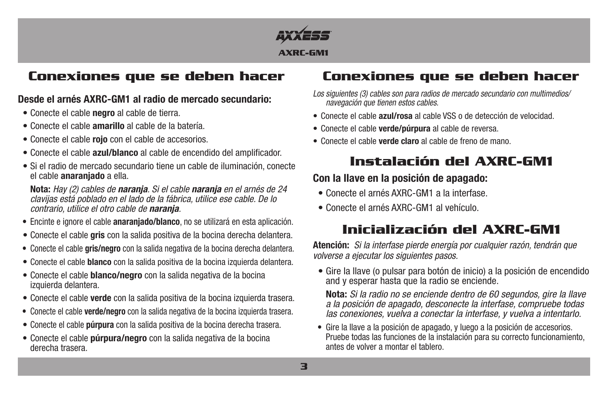

### **Conexiones que se deben hacer**

#### **Desde el arnés AXRC-GM1 al radio de mercado secundario:**

- Conecte el cable **negro** al cable de tierra.
- Conecte el cable **amarillo** al cable de la batería.
- Conecte el cable **rojo** con el cable de accesorios.
- Conecte el cable **azul/blanco** al cable de encendido del amplificador.
- Si el radio de mercado secundario tiene un cable de iluminación, conecte el cable **anaranjado** a ella.

**Nota:** *Hay (2) cables de naranja. Si el cable naranja en el arnés de 24 clavijas está poblado en el lado de la fábrica, utilice ese cable. De lo contrario, utilice el otro cable de naranja.*

- Encinte e ignore el cable **anaranjado/blanco**, no se utilizará en esta aplicación.
- Conecte el cable **gris** con la salida positiva de la bocina derecha delantera.
- Conecte el cable **gris/negro** con la salida negativa de la bocina derecha delantera.
- Conecte el cable **blanco** con la salida positiva de la bocina izquierda delantera.
- Conecte el cable **blanco/negro** con la salida negativa de la bocina izquierda delantera.
- Conecte el cable **verde** con la salida positiva de la bocina izquierda trasera.
- Conecte el cable **verde/negro** con la salida negativa de la bocina izquierda trasera.
- Conecte el cable **púrpura** con la salida positiva de la bocina derecha trasera.
- Conecte el cable **púrpura/negro** con la salida negativa de la bocina derecha trasera.

# **Conexiones que se deben hacer**

- *Los siguientes (3) cables son para radios de mercado secundario con multimedios/ navegación que tienen estos cables.*
- Conecte el cable **azul/rosa** al cable VSS o de detección de velocidad.
- Conecte el cable **verde/púrpura** al cable de reversa.
- Conecte el cable **verde claro** al cable de freno de mano.

# **Instalación del AXRC-GM1**

### **Con la llave en la posición de apagado:**

- Conecte el arnés AXRC-GM1 a la interfase.
- Conecte el arnés AXRC-GM1 al vehículo.

# **Inicialización del AXRC-GM1**

**Atención:** *Si la interfase pierde energía por cualquier razón, tendrán que volverse a ejecutar los siguientes pasos.*

• Gire la llave (o pulsar para botón de inicio) a la posición de encendido and y esperar hasta que la radio se enciende.

**Nota:** *Si la radio no se enciende dentro de 60 segundos, gire la llave a la posición de apagado, desconecte la interfase, compruebe todas las conexiones, vuelva a conectar la interfase, y vuelva a intentarlo.*

• Gire la llave a la posición de apagado, y luego a la posición de accesorios. Pruebe todas las funciones de la instalación para su correcto funcionamiento, antes de volver a montar el tablero.